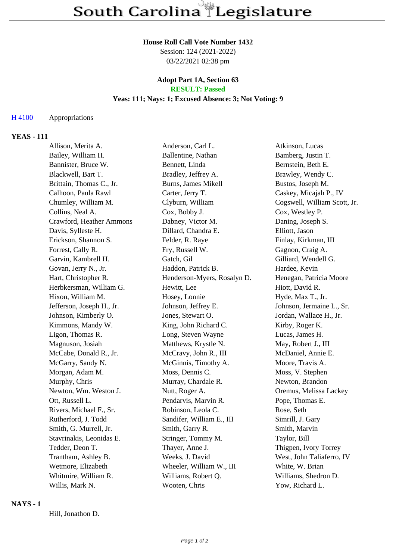# **House Roll Call Vote Number 1432**

Session: 124 (2021-2022) 03/22/2021 02:38 pm

## **Adopt Part 1A, Section 63 RESULT: Passed**

# **Yeas: 111; Nays: 1; Excused Absence: 3; Not Voting: 9**

## H 4100 Appropriations

# **YEAS - 111**

| Allison, Merita A.        | Anderson, Carl L.           | Atkinson, Lucas              |
|---------------------------|-----------------------------|------------------------------|
| Bailey, William H.        | Ballentine, Nathan          | Bamberg, Justin T.           |
| Bannister, Bruce W.       | Bennett, Linda              | Bernstein, Beth E.           |
| Blackwell, Bart T.        | Bradley, Jeffrey A.         | Brawley, Wendy C.            |
| Brittain, Thomas C., Jr.  | Burns, James Mikell         | Bustos, Joseph M.            |
| Calhoon, Paula Rawl       | Carter, Jerry T.            | Caskey, Micajah P., IV       |
| Chumley, William M.       | Clyburn, William            | Cogswell, William Scott, Jr. |
| Collins, Neal A.          | Cox, Bobby J.               | Cox, Westley P.              |
| Crawford, Heather Ammons  | Dabney, Victor M.           | Daning, Joseph S.            |
| Davis, Sylleste H.        | Dillard, Chandra E.         | Elliott, Jason               |
| Erickson, Shannon S.      | Felder, R. Raye             | Finlay, Kirkman, III         |
| Forrest, Cally R.         | Fry, Russell W.             | Gagnon, Craig A.             |
| Garvin, Kambrell H.       | Gatch, Gil                  | Gilliard, Wendell G.         |
| Govan, Jerry N., Jr.      | Haddon, Patrick B.          | Hardee, Kevin                |
| Hart, Christopher R.      | Henderson-Myers, Rosalyn D. | Henegan, Patricia Moore      |
| Herbkersman, William G.   | Hewitt, Lee                 | Hiott, David R.              |
| Hixon, William M.         | Hosey, Lonnie               | Hyde, Max T., Jr.            |
| Jefferson, Joseph H., Jr. | Johnson, Jeffrey E.         | Johnson, Jermaine L., Sr.    |
| Johnson, Kimberly O.      | Jones, Stewart O.           | Jordan, Wallace H., Jr.      |
| Kimmons, Mandy W.         | King, John Richard C.       | Kirby, Roger K.              |
| Ligon, Thomas R.          | Long, Steven Wayne          | Lucas, James H.              |
| Magnuson, Josiah          | Matthews, Krystle N.        | May, Robert J., III          |
| McCabe, Donald R., Jr.    | McCravy, John R., III       | McDaniel, Annie E.           |
| McGarry, Sandy N.         | McGinnis, Timothy A.        | Moore, Travis A.             |
| Morgan, Adam M.           | Moss, Dennis C.             | Moss, V. Stephen             |
| Murphy, Chris             | Murray, Chardale R.         | Newton, Brandon              |
| Newton, Wm. Weston J.     | Nutt, Roger A.              | Oremus, Melissa Lackey       |
| Ott, Russell L.           | Pendarvis, Marvin R.        | Pope, Thomas E.              |
| Rivers, Michael F., Sr.   | Robinson, Leola C.          | Rose, Seth                   |
| Rutherford, J. Todd       | Sandifer, William E., III   | Simrill, J. Gary             |
| Smith, G. Murrell, Jr.    | Smith, Garry R.             | Smith, Marvin                |
| Stavrinakis, Leonidas E.  | Stringer, Tommy M.          | Taylor, Bill                 |
| Tedder, Deon T.           | Thayer, Anne J.             | Thigpen, Ivory Torrey        |
| Trantham, Ashley B.       | Weeks, J. David             | West, John Taliaferro, IV    |
| Wetmore, Elizabeth        | Wheeler, William W., III    | White, W. Brian              |
| Whitmire, William R.      | Williams, Robert Q.         | Williams, Shedron D.         |
| Willis, Mark N.           | Wooten, Chris               | Yow, Richard L.              |

#### **NAYS - 1**

Hill, Jonathon D.